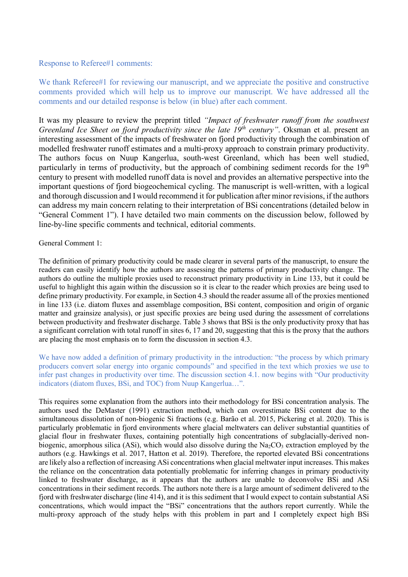## Response to Referee#1 comments:

We thank Referee#1 for reviewing our manuscript, and we appreciate the positive and constructive comments provided which will help us to improve our manuscript. We have addressed all the comments and our detailed response is below (in blue) after each comment.

It was my pleasure to review the preprint titled *"Impact of freshwater runoff from the southwest Greenland Ice Sheet on fjord productivity since the late 19<sup>th</sup> century". Oksman et al. present an* interesting assessment of the impacts of freshwater on fjord productivity through the combination of modelled freshwater runoff estimates and a multi-proxy approach to constrain primary productivity. The authors focus on Nuup Kangerlua, south-west Greenland, which has been well studied, particularly in terms of productivity, but the approach of combining sediment records for the 19<sup>th</sup> century to present with modelled runoff data is novel and provides an alternative perspective into the important questions of fjord biogeochemical cycling. The manuscript is well-written, with a logical and thorough discussion and I would recommend it for publication after minor revisions, if the authors can address my main concern relating to their interpretation of BSi concentrations (detailed below in "General Comment 1"). I have detailed two main comments on the discussion below, followed by line-by-line specific comments and technical, editorial comments.

## General Comment 1:

The definition of primary productivity could be made clearer in several parts of the manuscript, to ensure the readers can easily identify how the authors are assessing the patterns of primary productivity change. The authors do outline the multiple proxies used to reconstruct primary productivity in Line 133, but it could be useful to highlight this again within the discussion so it is clear to the reader which proxies are being used to define primary productivity. For example, in Section 4.3 should the reader assume all of the proxies mentioned in line 133 (i.e. diatom fluxes and assemblage composition, BSi content, composition and origin of organic matter and grainsize analysis), or just specific proxies are being used during the assessment of correlations between productivity and freshwater discharge. Table 3 shows that BSi is the only productivity proxy that has a significant correlation with total runoff in sites 6, 17 and 20, suggesting that this is the proxy that the authors are placing the most emphasis on to form the discussion in section 4.3.

We have now added a definition of primary productivity in the introduction: "the process by which primary producers convert solar energy into organic compounds" and specified in the text which proxies we use to infer past changes in productivity over time. The discussion section 4.1. now begins with "Our productivity indicators (diatom fluxes, BSi, and TOC) from Nuup Kangerlua…".

This requires some explanation from the authors into their methodology for BSi concentration analysis. The authors used the DeMaster (1991) extraction method, which can overestimate BSi content due to the simultaneous dissolution of non-biogenic Si fractions (e.g. Barão et al. 2015, Pickering et al. 2020). This is particularly problematic in fjord environments where glacial meltwaters can deliver substantial quantities of glacial flour in freshwater fluxes, containing potentially high concentrations of subglacially-derived nonbiogenic, amorphous silica (ASi), which would also dissolve during the  $Na<sub>2</sub>CO<sub>3</sub>$  extraction employed by the authors (e.g. Hawkings et al. 2017, Hatton et al. 2019). Therefore, the reported elevated BSi concentrations are likely also a reflection of increasing ASi concentrations when glacial meltwater input increases. This makes the reliance on the concentration data potentially problematic for inferring changes in primary productivity linked to freshwater discharge, as it appears that the authors are unable to deconvolve BSi and ASi concentrations in their sediment records. The authors note there is a large amount of sediment delivered to the fjord with freshwater discharge (line 414), and it is this sediment that I would expect to contain substantial ASi concentrations, which would impact the "BSi" concentrations that the authors report currently. While the multi-proxy approach of the study helps with this problem in part and I completely expect high BSi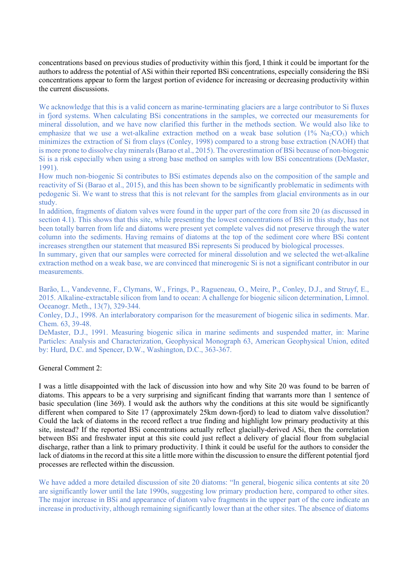concentrations based on previous studies of productivity within this fjord, I think it could be important for the authors to address the potential of ASi within their reported BSi concentrations, especially considering the BSi concentrations appear to form the largest portion of evidence for increasing or decreasing productivity within the current discussions.

We acknowledge that this is a valid concern as marine-terminating glaciers are a large contributor to Si fluxes in fjord systems. When calculating BSi concentrations in the samples, we corrected our measurements for mineral dissolution, and we have now clarified this further in the methods section. We would also like to emphasize that we use a wet-alkaline extraction method on a weak base solution  $(1\%$  Na<sub>2</sub>CO<sub>3</sub>) which minimizes the extraction of Si from clays (Conley, 1998) compared to a strong base extraction (NAOH) that is more prone to dissolve clay minerals(Barao et al., 2015). The overestimation of BSi because of non-biogenic Si is a risk especially when using a strong base method on samples with low BSi concentrations (DeMaster, 1991).

How much non-biogenic Si contributes to BSi estimates depends also on the composition of the sample and reactivity of Si (Barao et al., 2015), and this has been shown to be significantly problematic in sediments with pedogenic Si. We want to stress that this is not relevant for the samples from glacial environments as in our study.

In addition, fragments of diatom valves were found in the upper part of the core from site 20 (as discussed in section 4.1). This shows that this site, while presenting the lowest concentrations of BSi in this study, has not been totally barren from life and diatoms were present yet complete valves did not preserve through the water column into the sediments. Having remains of diatoms at the top of the sediment core where BSi content increases strengthen our statement that measured BSi represents Si produced by biological processes.

In summary, given that our samples were corrected for mineral dissolution and we selected the wet-alkaline extraction method on a weak base, we are convinced that minerogenic Si is not a significant contributor in our measurements.

Barão, L., Vandevenne, F., Clymans, W., Frings, P., Ragueneau, O., Meire, P., Conley, D.J., and Struyf, E., 2015. Alkaline-extractable silicon from land to ocean: A challenge for biogenic silicon determination, Limnol. Oceanogr. Meth., 13(7), 329-344.

Conley, D.J., 1998. An interlaboratory comparison for the measurement of biogenic silica in sediments. Mar. Chem. 63, 39-48.

DeMaster, D.J., 1991. Measuring biogenic silica in marine sediments and suspended matter, in: Marine Particles: Analysis and Characterization, Geophysical Monograph 63, American Geophysical Union, edited by: Hurd, D.C. and Spencer, D.W., Washington, D.C., 363-367.

### General Comment 2:

I was a little disappointed with the lack of discussion into how and why Site 20 was found to be barren of diatoms. This appears to be a very surprising and significant finding that warrants more than 1 sentence of basic speculation (line 369). I would ask the authors why the conditions at this site would be significantly different when compared to Site 17 (approximately 25km down-fjord) to lead to diatom valve dissolution? Could the lack of diatoms in the record reflect a true finding and highlight low primary productivity at this site, instead? If the reported BSi concentrations actually reflect glacially-derived ASi, then the correlation between BSi and freshwater input at this site could just reflect a delivery of glacial flour from subglacial discharge, rather than a link to primary productivity. I think it could be useful for the authors to consider the lack of diatoms in the record at this site a little more within the discussion to ensure the different potential fjord processes are reflected within the discussion.

We have added a more detailed discussion of site 20 diatoms: "In general, biogenic silica contents at site 20 are significantly lower until the late 1990s, suggesting low primary production here, compared to other sites. The major increase in BSi and appearance of diatom valve fragments in the upper part of the core indicate an increase in productivity, although remaining significantly lower than at the other sites. The absence of diatoms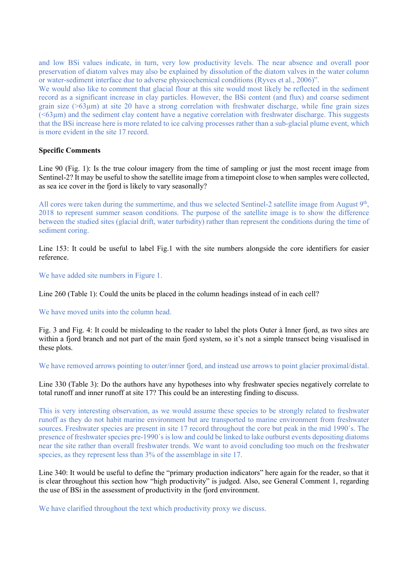and low BSi values indicate, in turn, very low productivity levels. The near absence and overall poor preservation of diatom valves may also be explained by dissolution of the diatom valves in the water column or water-sediment interface due to adverse physicochemical conditions (Ryves et al., 2006)".

We would also like to comment that glacial flour at this site would most likely be reflected in the sediment record as a significant increase in clay particles. However, the BSi content (and flux) and coarse sediment grain size (>63µm) at site 20 have a strong correlation with freshwater discharge, while fine grain sizes  $(\leq 63\,\mu\text{m})$  and the sediment clay content have a negative correlation with freshwater discharge. This suggests that the BSi increase here is more related to ice calving processes rather than a sub-glacial plume event, which is more evident in the site 17 record.

# **Specific Comments**

Line 90 (Fig. 1): Is the true colour imagery from the time of sampling or just the most recent image from Sentinel-2? It may be useful to show the satellite image from a timepoint close to when samples were collected, as sea ice cover in the fjord is likely to vary seasonally?

All cores were taken during the summertime, and thus we selected Sentinel-2 satellite image from August 9<sup>th</sup>, 2018 to represent summer season conditions. The purpose of the satellite image is to show the difference between the studied sites (glacial drift, water turbidity) rather than represent the conditions during the time of sediment coring.

Line 153: It could be useful to label Fig.1 with the site numbers alongside the core identifiers for easier reference.

We have added site numbers in Figure 1.

Line 260 (Table 1): Could the units be placed in the column headings instead of in each cell?

## We have moved units into the column head.

Fig. 3 and Fig. 4: It could be misleading to the reader to label the plots Outer à Inner fjord, as two sites are within a fjord branch and not part of the main fjord system, so it's not a simple transect being visualised in these plots.

We have removed arrows pointing to outer/inner fjord, and instead use arrows to point glacier proximal/distal.

Line 330 (Table 3): Do the authors have any hypotheses into why freshwater species negatively correlate to total runoff and inner runoff at site 17? This could be an interesting finding to discuss.

This is very interesting observation, as we would assume these species to be strongly related to freshwater runoff as they do not habit marine environment but are transported to marine environment from freshwater sources. Freshwater species are present in site 17 record throughout the core but peak in the mid 1990´s. The presence of freshwater species pre-1990´s is low and could be linked to lake outburst events depositing diatoms near the site rather than overall freshwater trends. We want to avoid concluding too much on the freshwater species, as they represent less than 3% of the assemblage in site 17.

Line 340: It would be useful to define the "primary production indicators" here again for the reader, so that it is clear throughout this section how "high productivity" is judged. Also, see General Comment 1, regarding the use of BSi in the assessment of productivity in the fjord environment.

We have clarified throughout the text which productivity proxy we discuss.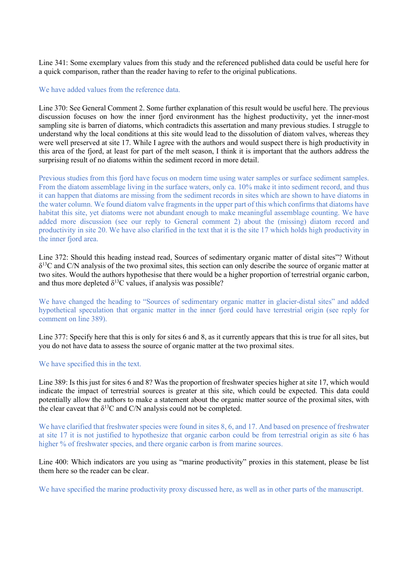Line 341: Some exemplary values from this study and the referenced published data could be useful here for a quick comparison, rather than the reader having to refer to the original publications.

### We have added values from the reference data.

Line 370: See General Comment 2. Some further explanation of this result would be useful here. The previous discussion focuses on how the inner fjord environment has the highest productivity, yet the inner-most sampling site is barren of diatoms, which contradicts this assertation and many previous studies. I struggle to understand why the local conditions at this site would lead to the dissolution of diatom valves, whereas they were well preserved at site 17. While I agree with the authors and would suspect there is high productivity in this area of the fjord, at least for part of the melt season, I think it is important that the authors address the surprising result of no diatoms within the sediment record in more detail.

Previous studies from this fjord have focus on modern time using water samples or surface sediment samples. From the diatom assemblage living in the surface waters, only ca. 10% make it into sediment record, and thus it can happen that diatoms are missing from the sediment records in sites which are shown to have diatoms in the water column. We found diatom valve fragments in the upper part of this which confirms that diatoms have habitat this site, yet diatoms were not abundant enough to make meaningful assemblage counting. We have added more discussion (see our reply to General comment 2) about the (missing) diatom record and productivity in site 20. We have also clarified in the text that it is the site 17 which holds high productivity in the inner fiord area.

Line 372: Should this heading instead read, Sources of sedimentary organic matter of distal sites"? Without  $\delta^{13}$ C and C/N analysis of the two proximal sites, this section can only describe the source of organic matter at two sites. Would the authors hypothesise that there would be a higher proportion of terrestrial organic carbon, and thus more depleted  $\delta^{13}$ C values, if analysis was possible?

We have changed the heading to "Sources of sedimentary organic matter in glacier-distal sites" and added hypothetical speculation that organic matter in the inner fjord could have terrestrial origin (see reply for comment on line 389).

Line 377: Specify here that this is only for sites 6 and 8, as it currently appears that this is true for all sites, but you do not have data to assess the source of organic matter at the two proximal sites.

## We have specified this in the text.

Line 389: Is this just for sites 6 and 8? Was the proportion of freshwater species higher at site 17, which would indicate the impact of terrestrial sources is greater at this site, which could be expected. This data could potentially allow the authors to make a statement about the organic matter source of the proximal sites, with the clear caveat that  $\delta^{13}$ C and C/N analysis could not be completed.

We have clarified that freshwater species were found in sites 8, 6, and 17. And based on presence of freshwater at site 17 it is not justified to hypothesize that organic carbon could be from terrestrial origin as site 6 has higher % of freshwater species, and there organic carbon is from marine sources.

Line 400: Which indicators are you using as "marine productivity" proxies in this statement, please be list them here so the reader can be clear.

We have specified the marine productivity proxy discussed here, as well as in other parts of the manuscript.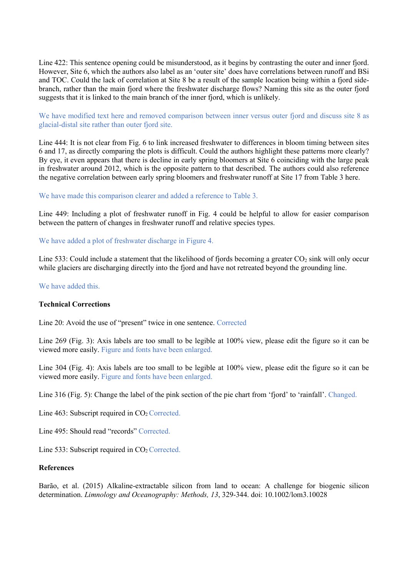Line 422: This sentence opening could be misunderstood, as it begins by contrasting the outer and inner fjord. However, Site 6, which the authors also label as an 'outer site' does have correlations between runoff and BSi and TOC. Could the lack of correlation at Site 8 be a result of the sample location being within a fjord sidebranch, rather than the main fjord where the freshwater discharge flows? Naming this site as the outer fjord suggests that it is linked to the main branch of the inner fjord, which is unlikely.

We have modified text here and removed comparison between inner versus outer fjord and discuss site 8 as glacial-distal site rather than outer fjord site.

Line 444: It is not clear from Fig. 6 to link increased freshwater to differences in bloom timing between sites 6 and 17, as directly comparing the plots is difficult. Could the authors highlight these patterns more clearly? By eye, it even appears that there is decline in early spring bloomers at Site 6 coinciding with the large peak in freshwater around 2012, which is the opposite pattern to that described. The authors could also reference the negative correlation between early spring bloomers and freshwater runoff at Site 17 from Table 3 here.

### We have made this comparison clearer and added a reference to Table 3.

Line 449: Including a plot of freshwater runoff in Fig. 4 could be helpful to allow for easier comparison between the pattern of changes in freshwater runoff and relative species types.

We have added a plot of freshwater discharge in Figure 4.

Line 533: Could include a statement that the likelihood of fjords becoming a greater  $CO<sub>2</sub>$  sink will only occur while glaciers are discharging directly into the fjord and have not retreated beyond the grounding line.

We have added this.

## **Technical Corrections**

Line 20: Avoid the use of "present" twice in one sentence. Corrected

Line 269 (Fig. 3): Axis labels are too small to be legible at 100% view, please edit the figure so it can be viewed more easily. Figure and fonts have been enlarged.

Line 304 (Fig. 4): Axis labels are too small to be legible at 100% view, please edit the figure so it can be viewed more easily. Figure and fonts have been enlarged.

Line 316 (Fig. 5): Change the label of the pink section of the pie chart from 'fjord' to 'rainfall'. Changed.

Line 463: Subscript required in  $CO<sub>2</sub>$  Corrected.

Line 495: Should read "records" Corrected.

Line 533: Subscript required in  $CO<sub>2</sub>$  Corrected.

#### **References**

Barão, et al. (2015) Alkaline-extractable silicon from land to ocean: A challenge for biogenic silicon determination. *Limnology and Oceanography: Methods, 13*, 329-344. doi: 10.1002/lom3.10028